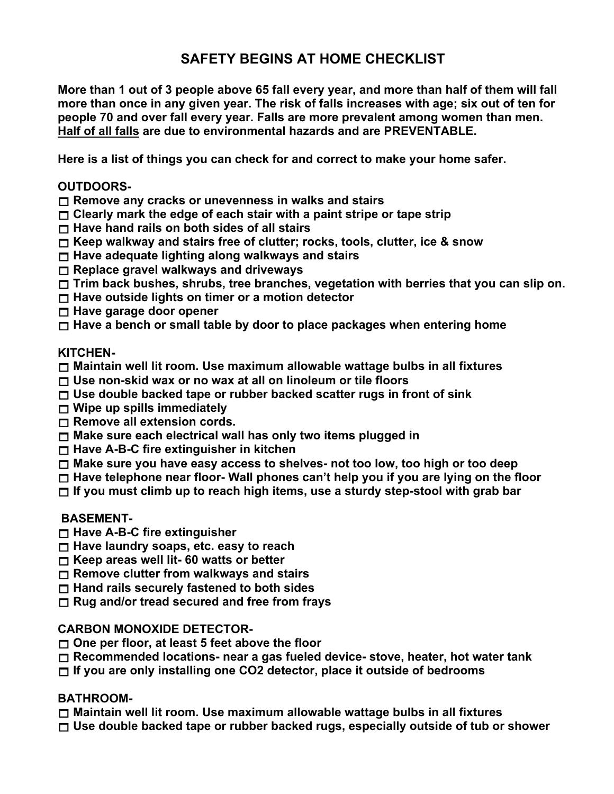# **SAFETY BEGINS AT HOME CHECKLIST**

**More than 1 out of 3 people above 65 fall every year, and more than half of them will fall more than once in any given year. The risk of falls increases with age; six out of ten for people 70 and over fall every year. Falls are more prevalent among women than men. Half of all falls are due to environmental hazards and are PREVENTABLE.**

**Here is a list of things you can check for and correct to make your home safer.**

#### **OUTDOORS-**

**Remove any cracks or unevenness in walks and stairs**

- **Clearly mark the edge of each stair with a paint stripe or tape strip**
- **Have hand rails on both sides of all stairs**
- **Keep walkway and stairs free of clutter; rocks, tools, clutter, ice & snow**
- **Have adequate lighting along walkways and stairs**
- **Replace gravel walkways and driveways**
- **Trim back bushes, shrubs, tree branches, vegetation with berries that you can slip on.**
- **Have outside lights on timer or a motion detector**
- **Have garage door opener**
- **Have a bench or small table by door to place packages when entering home**

# **KITCHEN-**

- **Maintain well lit room. Use maximum allowable wattage bulbs in all fixtures**
- **Use non-skid wax or no wax at all on linoleum or tile floors**
- **Use double backed tape or rubber backed scatter rugs in front of sink**
- **Wipe up spills immediately**
- **Remove all extension cords.**
- **Make sure each electrical wall has only two items plugged in**
- **Have A-B-C fire extinguisher in kitchen**
- **Make sure you have easy access to shelves- not too low, too high or too deep**
- **Have telephone near floor- Wall phones can't help you if you are lying on the floor**
- **If you must climb up to reach high items, use a sturdy step-stool with grab bar**

# **BASEMENT-**

- **Have A-B-C fire extinguisher**
- **Have laundry soaps, etc. easy to reach**
- **Keep areas well lit- 60 watts or better**
- **Remove clutter from walkways and stairs**
- **Hand rails securely fastened to both sides**
- **Rug and/or tread secured and free from frays**

# **CARBON MONOXIDE DETECTOR-**

- **One per floor, at least 5 feet above the floor**
- **Recommended locations- near a gas fueled device- stove, heater, hot water tank**
- **If you are only installing one CO2 detector, place it outside of bedrooms**

# **BATHROOM-**

- **Maintain well lit room. Use maximum allowable wattage bulbs in all fixtures**
- **Use double backed tape or rubber backed rugs, especially outside of tub or shower**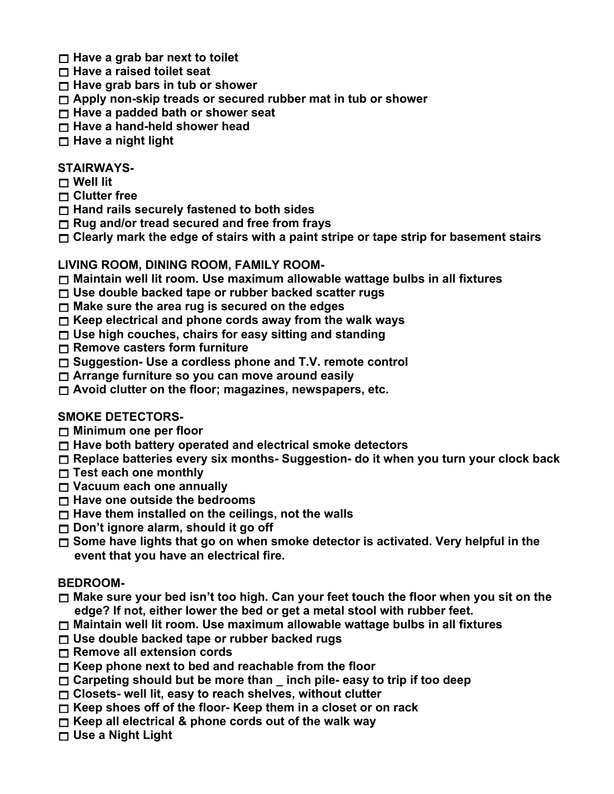- **Have a grab bar next to toilet**
- **Have a raised toilet seat**
- **Have grab bars in tub or shower**
- **Apply non-skip treads or secured rubber mat in tub or shower**
- **Have a padded bath or shower seat**
- **Have a hand-held shower head**
- **Have a night light**

### **STAIRWAYS-**

- **Well lit**
- **Clutter free**
- **Hand rails securely fastened to both sides**
- **Rug and/or tread secured and free from frays**
- **Clearly mark the edge of stairs with a paint stripe or tape strip for basement stairs**

#### **LIVING ROOM, DINING ROOM, FAMILY ROOM-**

- **Maintain well lit room. Use maximum allowable wattage bulbs in all fixtures**
- **Use double backed tape or rubber backed scatter rugs**
- **Make sure the area rug is secured on the edges**
- **Keep electrical and phone cords away from the walk ways**
- **Use high couches, chairs for easy sitting and standing**
- **Remove casters form furniture**
- **Suggestion- Use a cordless phone and T.V. remote control**
- **Arrange furniture so you can move around easily**
- **Avoid clutter on the floor; magazines, newspapers, etc.**

# **SMOKE DETECTORS-**

- **Minimum one per floor**
- **Have both battery operated and electrical smoke detectors**
- **Replace batteries every six months- Suggestion- do it when you turn your clock back**
- **Test each one monthly**
- **Vacuum each one annually**
- **Have one outside the bedrooms**
- **Have them installed on the ceilings, not the walls**
- **Don't ignore alarm, should it go off**
- **Some have lights that go on when smoke detector is activated. Very helpful in the event that you have an electrical fire.**

# **BEDROOM-**

- **Make sure your bed isn't too high. Can your feet touch the floor when you sit on the edge? If not, either lower the bed or get a metal stool with rubber feet.**
- **Maintain well lit room. Use maximum allowable wattage bulbs in all fixtures**
- **Use double backed tape or rubber backed rugs**
- **Remove all extension cords**
- **Keep phone next to bed and reachable from the floor**
- **Carpeting should but be more than \_ inch pile- easy to trip if too deep**
- **Closets- well lit, easy to reach shelves, without clutter**
- **Keep shoes off of the floor- Keep them in a closet or on rack**
- **Keep all electrical & phone cords out of the walk way**
- **Use a Night Light**